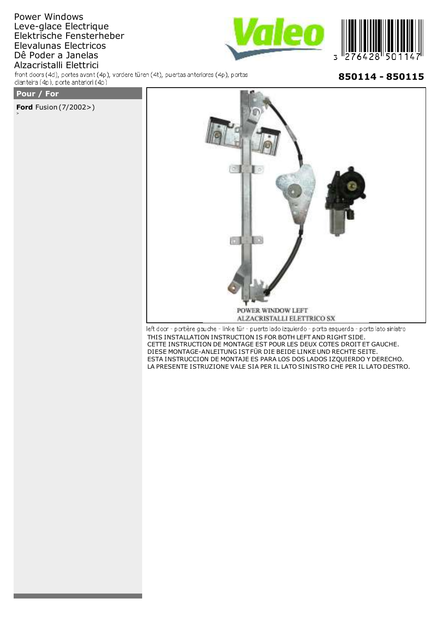## Power Windows Leve-glace Electrique Elektrische Fensterheber Elevalunas Electricos Dê Poder a Janelas Alzacristalli Elettrici

front doors (4d), portes avant (4p), vordere türen (4t), puertas anteriores (4p), portas dianteira (4p), porte anteriori (4p)





850114 - 850115

## Pour / For

**Ford** Fusion (7/2002>)



left door - portière gauche - linke tür - puerta lado izquierdo - porta esquerda - porta lato sinistro THIS INSTALLATION INSTRUCTION IS FOR BOTH LEFT AND RIGHT SIDE. CETTE INSTRUCTION DE MONTAGE EST POUR LES DEUX COTES DROIT ET GAUCHE. DIESE MONTAGE-ANLEITUNG IST FÜR DIE BEIDE LINKE UND RECHTE SEITE. ESTA INSTRUCCION DE MONTAJE ES PARA LOS DOS LADOS IZQUIERDO Y DERECHO. LA PRESENTE ISTRUZIONE VALE SIA PER IL LATO SINISTRO CHE PER IL LATO DESTRO.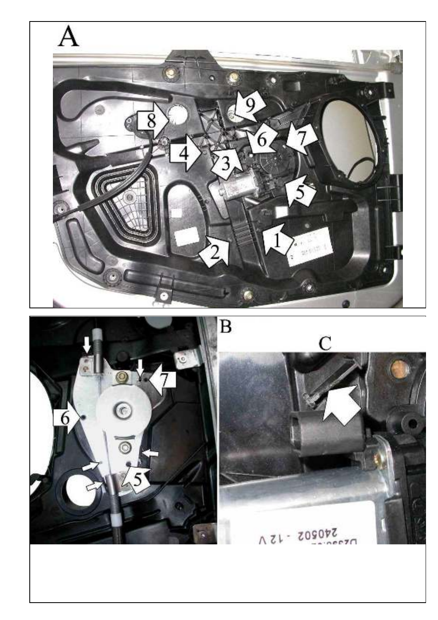